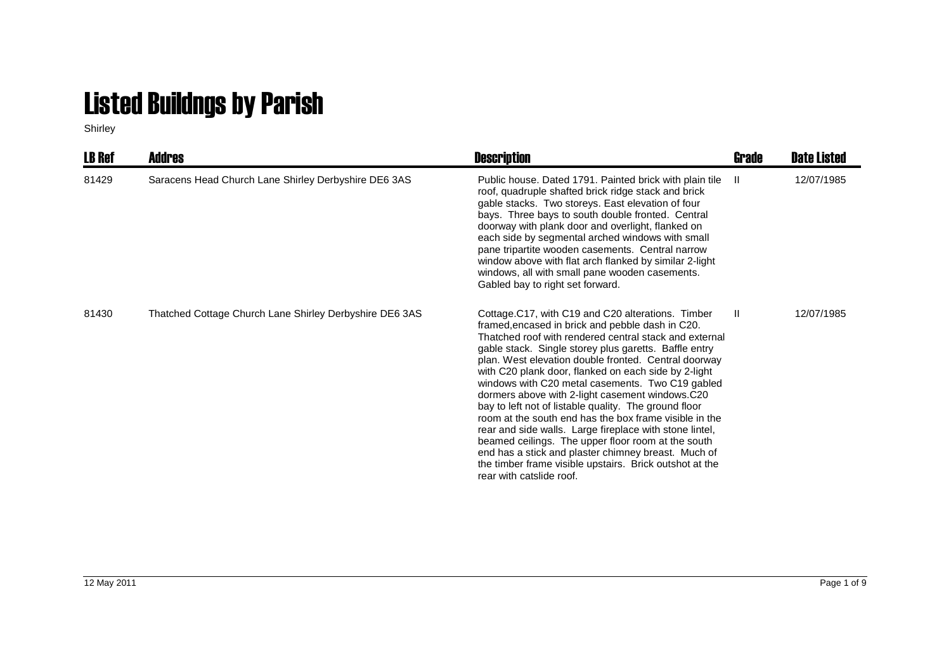## Listed Buildngs by Parish

Shirley

| <b>LB Ref</b> | <b>Addres</b>                                           | <b>Description</b>                                                                                                                                                                                                                                                                                                                                                                                                                                                                                                                                                                                                                                                                                                                                                                                                                | Grade        | <b>Date Listed</b> |
|---------------|---------------------------------------------------------|-----------------------------------------------------------------------------------------------------------------------------------------------------------------------------------------------------------------------------------------------------------------------------------------------------------------------------------------------------------------------------------------------------------------------------------------------------------------------------------------------------------------------------------------------------------------------------------------------------------------------------------------------------------------------------------------------------------------------------------------------------------------------------------------------------------------------------------|--------------|--------------------|
| 81429         | Saracens Head Church Lane Shirley Derbyshire DE6 3AS    | Public house. Dated 1791. Painted brick with plain tile<br>roof, quadruple shafted brick ridge stack and brick<br>gable stacks. Two storeys. East elevation of four<br>bays. Three bays to south double fronted. Central<br>doorway with plank door and overlight, flanked on<br>each side by segmental arched windows with small<br>pane tripartite wooden casements. Central narrow<br>window above with flat arch flanked by similar 2-light<br>windows, all with small pane wooden casements.<br>Gabled bay to right set forward.                                                                                                                                                                                                                                                                                             | $\mathbf{H}$ | 12/07/1985         |
| 81430         | Thatched Cottage Church Lane Shirley Derbyshire DE6 3AS | Cottage.C17, with C19 and C20 alterations. Timber<br>framed, encased in brick and pebble dash in C20.<br>Thatched roof with rendered central stack and external<br>gable stack. Single storey plus garetts. Baffle entry<br>plan. West elevation double fronted. Central doorway<br>with C20 plank door, flanked on each side by 2-light<br>windows with C20 metal casements. Two C19 gabled<br>dormers above with 2-light casement windows.C20<br>bay to left not of listable quality. The ground floor<br>room at the south end has the box frame visible in the<br>rear and side walls. Large fireplace with stone lintel,<br>beamed ceilings. The upper floor room at the south<br>end has a stick and plaster chimney breast. Much of<br>the timber frame visible upstairs. Brick outshot at the<br>rear with catslide roof. | -II          | 12/07/1985         |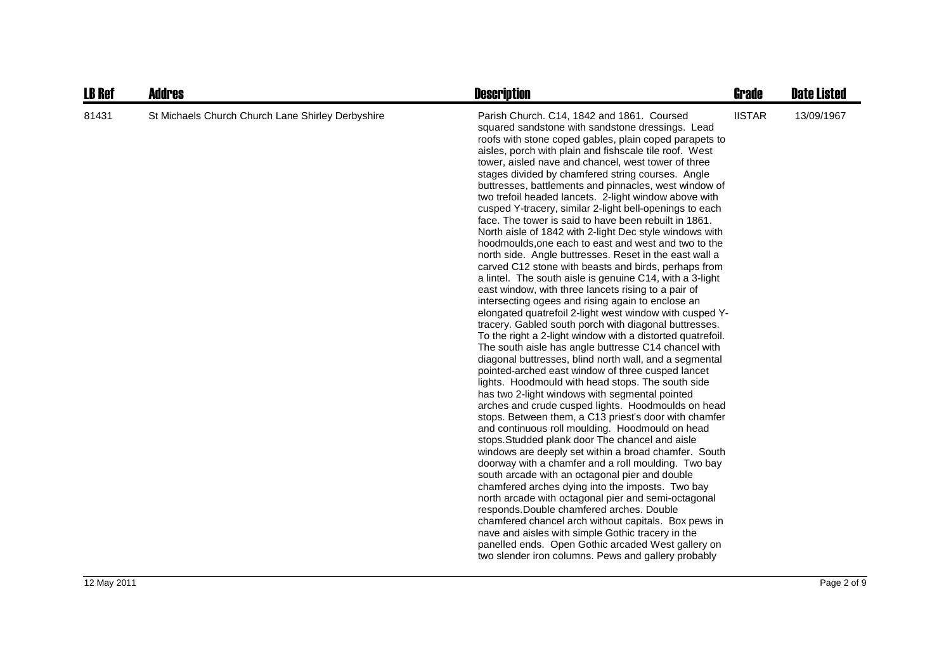| <b>LB Ref</b> | <b>Addres</b>                                     | <b>Description</b>                                                                                                                                                                                                                                                                                                                                                                                                                                                                                                                                                                                                                                                                                                                                                                                                                                                                                                                                                                                                                                                                                                                                                                                                                                                                                                                                                                                                                                                                                                                                                                                                                                                                                                                                                                                                                                                                                                                                                                                                                                                                                                                                                                                                        | <b>Grade</b>  | <b>Date Listed</b> |
|---------------|---------------------------------------------------|---------------------------------------------------------------------------------------------------------------------------------------------------------------------------------------------------------------------------------------------------------------------------------------------------------------------------------------------------------------------------------------------------------------------------------------------------------------------------------------------------------------------------------------------------------------------------------------------------------------------------------------------------------------------------------------------------------------------------------------------------------------------------------------------------------------------------------------------------------------------------------------------------------------------------------------------------------------------------------------------------------------------------------------------------------------------------------------------------------------------------------------------------------------------------------------------------------------------------------------------------------------------------------------------------------------------------------------------------------------------------------------------------------------------------------------------------------------------------------------------------------------------------------------------------------------------------------------------------------------------------------------------------------------------------------------------------------------------------------------------------------------------------------------------------------------------------------------------------------------------------------------------------------------------------------------------------------------------------------------------------------------------------------------------------------------------------------------------------------------------------------------------------------------------------------------------------------------------------|---------------|--------------------|
| 81431         | St Michaels Church Church Lane Shirley Derbyshire | Parish Church. C14, 1842 and 1861. Coursed<br>squared sandstone with sandstone dressings. Lead<br>roofs with stone coped gables, plain coped parapets to<br>aisles, porch with plain and fishscale tile roof. West<br>tower, aisled nave and chancel, west tower of three<br>stages divided by chamfered string courses. Angle<br>buttresses, battlements and pinnacles, west window of<br>two trefoil headed lancets. 2-light window above with<br>cusped Y-tracery, similar 2-light bell-openings to each<br>face. The tower is said to have been rebuilt in 1861.<br>North aisle of 1842 with 2-light Dec style windows with<br>hoodmoulds, one each to east and west and two to the<br>north side. Angle buttresses. Reset in the east wall a<br>carved C12 stone with beasts and birds, perhaps from<br>a lintel. The south aisle is genuine C14, with a 3-light<br>east window, with three lancets rising to a pair of<br>intersecting ogees and rising again to enclose an<br>elongated quatrefoil 2-light west window with cusped Y-<br>tracery. Gabled south porch with diagonal buttresses.<br>To the right a 2-light window with a distorted quatrefoil.<br>The south aisle has angle buttresse C14 chancel with<br>diagonal buttresses, blind north wall, and a segmental<br>pointed-arched east window of three cusped lancet<br>lights. Hoodmould with head stops. The south side<br>has two 2-light windows with segmental pointed<br>arches and crude cusped lights. Hoodmoulds on head<br>stops. Between them, a C13 priest's door with chamfer<br>and continuous roll moulding. Hoodmould on head<br>stops. Studded plank door The chancel and aisle<br>windows are deeply set within a broad chamfer. South<br>doorway with a chamfer and a roll moulding. Two bay<br>south arcade with an octagonal pier and double<br>chamfered arches dying into the imposts. Two bay<br>north arcade with octagonal pier and semi-octagonal<br>responds. Double chamfered arches. Double<br>chamfered chancel arch without capitals. Box pews in<br>nave and aisles with simple Gothic tracery in the<br>panelled ends. Open Gothic arcaded West gallery on<br>two slender iron columns. Pews and gallery probably | <b>IISTAR</b> | 13/09/1967         |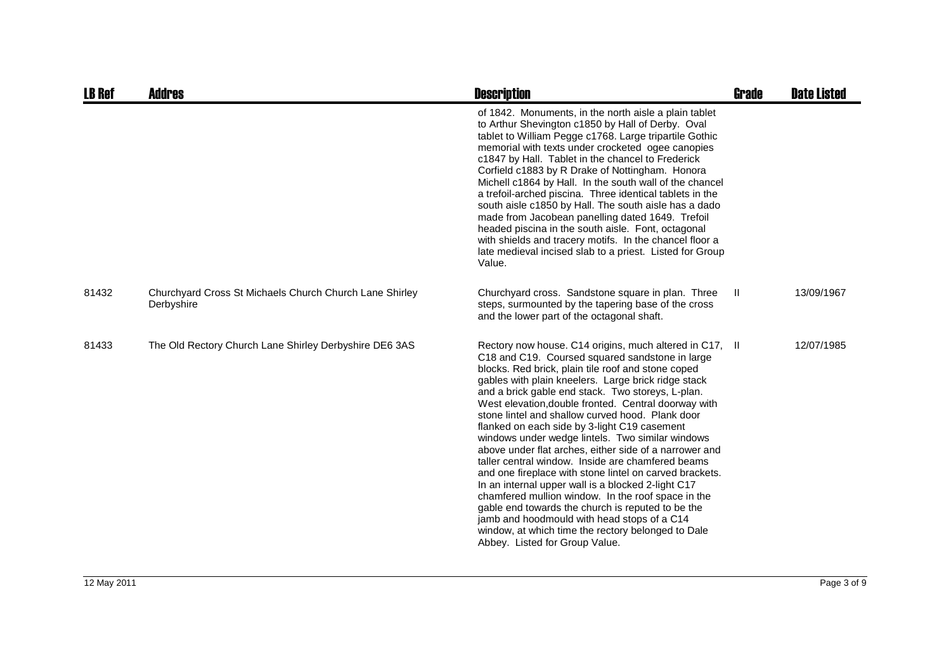| <b>LB Ref</b> | <b>Addres</b>                                                         | <b>Description</b>                                                                                                                                                                                                                                                                                                                                                                                                                                                                                                                                                                                                                                                                                                                                                                                                                                                                                                                                                             | Grade | <b>Date Listed</b> |
|---------------|-----------------------------------------------------------------------|--------------------------------------------------------------------------------------------------------------------------------------------------------------------------------------------------------------------------------------------------------------------------------------------------------------------------------------------------------------------------------------------------------------------------------------------------------------------------------------------------------------------------------------------------------------------------------------------------------------------------------------------------------------------------------------------------------------------------------------------------------------------------------------------------------------------------------------------------------------------------------------------------------------------------------------------------------------------------------|-------|--------------------|
|               |                                                                       | of 1842. Monuments, in the north aisle a plain tablet<br>to Arthur Shevington c1850 by Hall of Derby. Oval<br>tablet to William Pegge c1768. Large tripartile Gothic<br>memorial with texts under crocketed ogee canopies<br>c1847 by Hall. Tablet in the chancel to Frederick<br>Corfield c1883 by R Drake of Nottingham. Honora<br>Michell c1864 by Hall. In the south wall of the chancel<br>a trefoil-arched piscina. Three identical tablets in the<br>south aisle c1850 by Hall. The south aisle has a dado<br>made from Jacobean panelling dated 1649. Trefoil<br>headed piscina in the south aisle. Font, octagonal<br>with shields and tracery motifs. In the chancel floor a<br>late medieval incised slab to a priest. Listed for Group<br>Value.                                                                                                                                                                                                                   |       |                    |
| 81432         | Churchyard Cross St Michaels Church Church Lane Shirley<br>Derbyshire | Churchyard cross. Sandstone square in plan. Three<br>steps, surmounted by the tapering base of the cross<br>and the lower part of the octagonal shaft.                                                                                                                                                                                                                                                                                                                                                                                                                                                                                                                                                                                                                                                                                                                                                                                                                         | Ш.    | 13/09/1967         |
| 81433         | The Old Rectory Church Lane Shirley Derbyshire DE6 3AS                | Rectory now house. C14 origins, much altered in C17, II<br>C18 and C19. Coursed squared sandstone in large<br>blocks. Red brick, plain tile roof and stone coped<br>gables with plain kneelers. Large brick ridge stack<br>and a brick gable end stack. Two storeys, L-plan.<br>West elevation, double fronted. Central doorway with<br>stone lintel and shallow curved hood. Plank door<br>flanked on each side by 3-light C19 casement<br>windows under wedge lintels. Two similar windows<br>above under flat arches, either side of a narrower and<br>taller central window. Inside are chamfered beams<br>and one fireplace with stone lintel on carved brackets.<br>In an internal upper wall is a blocked 2-light C17<br>chamfered mullion window. In the roof space in the<br>gable end towards the church is reputed to be the<br>jamb and hoodmould with head stops of a C14<br>window, at which time the rectory belonged to Dale<br>Abbey. Listed for Group Value. |       | 12/07/1985         |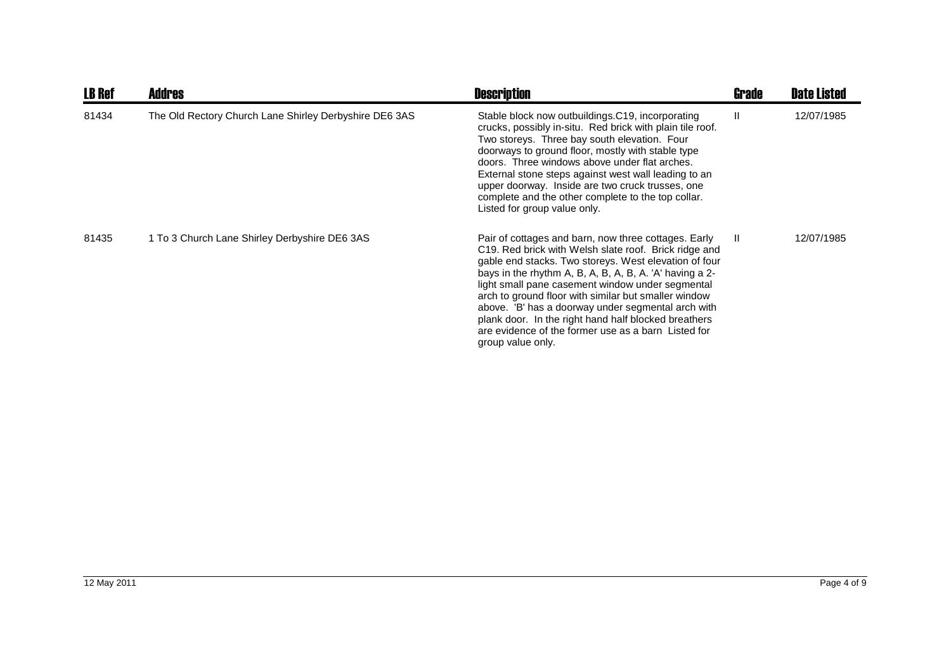| <b>LB Ref</b> | <b>Addres</b>                                          | <b>Description</b>                                                                                                                                                                                                                                                                                                                                                                                                                                                                                                                      | <b>Grade</b> | <b>Date Listed</b> |
|---------------|--------------------------------------------------------|-----------------------------------------------------------------------------------------------------------------------------------------------------------------------------------------------------------------------------------------------------------------------------------------------------------------------------------------------------------------------------------------------------------------------------------------------------------------------------------------------------------------------------------------|--------------|--------------------|
| 81434         | The Old Rectory Church Lane Shirley Derbyshire DE6 3AS | Stable block now outbuildings.C19, incorporating<br>crucks, possibly in-situ. Red brick with plain tile roof.<br>Two storeys. Three bay south elevation. Four<br>doorways to ground floor, mostly with stable type<br>doors. Three windows above under flat arches.<br>External stone steps against west wall leading to an<br>upper doorway. Inside are two cruck trusses, one<br>complete and the other complete to the top collar.<br>Listed for group value only.                                                                   | Ш            | 12/07/1985         |
| 81435         | 1 To 3 Church Lane Shirley Derbyshire DE6 3AS          | Pair of cottages and barn, now three cottages. Early<br>C19. Red brick with Welsh slate roof. Brick ridge and<br>gable end stacks. Two storeys. West elevation of four<br>bays in the rhythm A, B, A, B, A, B, A. 'A' having a 2-<br>light small pane casement window under segmental<br>arch to ground floor with similar but smaller window<br>above. 'B' has a doorway under segmental arch with<br>plank door. In the right hand half blocked breathers<br>are evidence of the former use as a barn Listed for<br>group value only. | $\mathbf{I}$ | 12/07/1985         |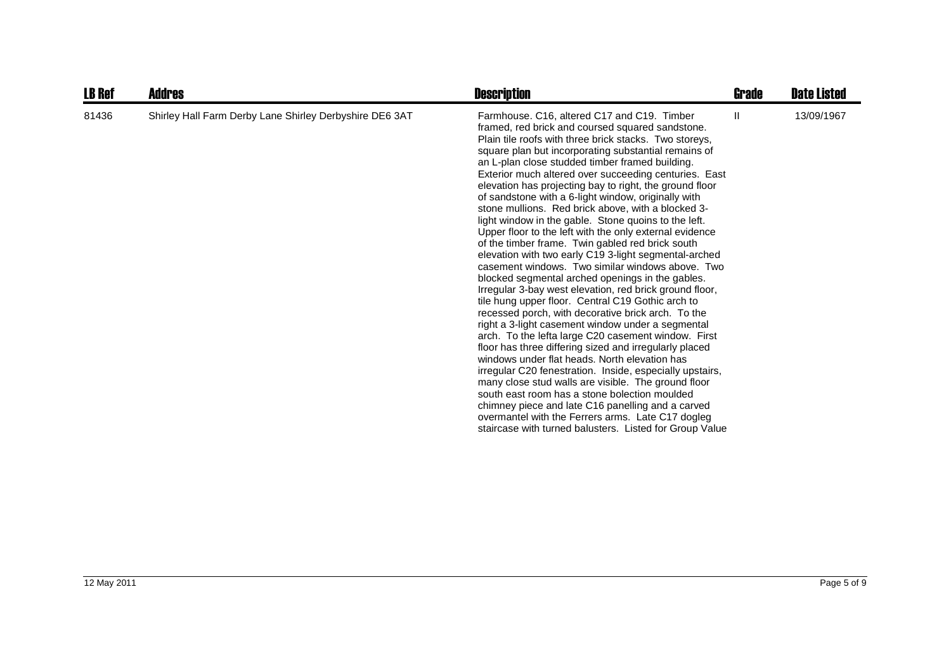| <b>LB Ref</b> | Addres                                                  | <b>Description</b>                                                                                                                                                                                                                                                                                                                                                                                                                                                                                                                                                                                                                                                                                                                                                                                                                                                                                                                                                                                                                                                                                                                                                                                                                                                                                                                                                                                                                                                                                                                                                                  | Grade | <b>Date Listed</b> |
|---------------|---------------------------------------------------------|-------------------------------------------------------------------------------------------------------------------------------------------------------------------------------------------------------------------------------------------------------------------------------------------------------------------------------------------------------------------------------------------------------------------------------------------------------------------------------------------------------------------------------------------------------------------------------------------------------------------------------------------------------------------------------------------------------------------------------------------------------------------------------------------------------------------------------------------------------------------------------------------------------------------------------------------------------------------------------------------------------------------------------------------------------------------------------------------------------------------------------------------------------------------------------------------------------------------------------------------------------------------------------------------------------------------------------------------------------------------------------------------------------------------------------------------------------------------------------------------------------------------------------------------------------------------------------------|-------|--------------------|
| 81436         | Shirley Hall Farm Derby Lane Shirley Derbyshire DE6 3AT | Farmhouse. C16, altered C17 and C19. Timber<br>framed, red brick and coursed squared sandstone.<br>Plain tile roofs with three brick stacks. Two storeys,<br>square plan but incorporating substantial remains of<br>an L-plan close studded timber framed building.<br>Exterior much altered over succeeding centuries. East<br>elevation has projecting bay to right, the ground floor<br>of sandstone with a 6-light window, originally with<br>stone mullions. Red brick above, with a blocked 3-<br>light window in the gable. Stone quoins to the left.<br>Upper floor to the left with the only external evidence<br>of the timber frame. Twin gabled red brick south<br>elevation with two early C19 3-light segmental-arched<br>casement windows. Two similar windows above. Two<br>blocked segmental arched openings in the gables.<br>Irregular 3-bay west elevation, red brick ground floor,<br>tile hung upper floor. Central C19 Gothic arch to<br>recessed porch, with decorative brick arch. To the<br>right a 3-light casement window under a segmental<br>arch. To the lefta large C20 casement window. First<br>floor has three differing sized and irregularly placed<br>windows under flat heads. North elevation has<br>irregular C20 fenestration. Inside, especially upstairs,<br>many close stud walls are visible. The ground floor<br>south east room has a stone bolection moulded<br>chimney piece and late C16 panelling and a carved<br>overmantel with the Ferrers arms. Late C17 dogleg<br>staircase with turned balusters. Listed for Group Value | Ш     | 13/09/1967         |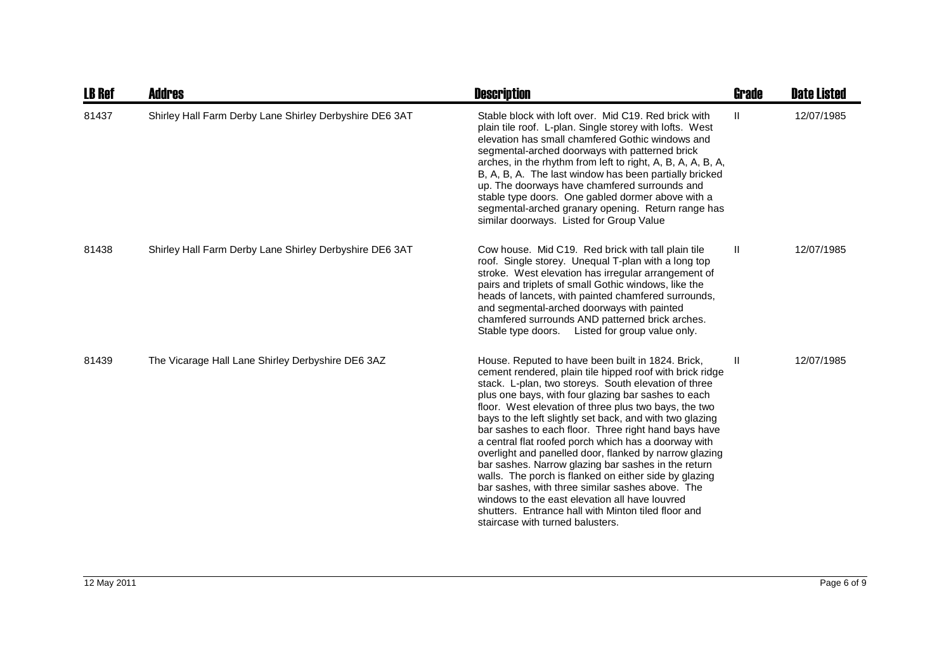| <b>LB Ref</b> | <b>Addres</b>                                           | <b>Description</b>                                                                                                                                                                                                                                                                                                                                                                                                                                                                                                                                                                                                                                                                                                                                                                                                                           | <b>Grade</b> | <b>Date Listed</b> |
|---------------|---------------------------------------------------------|----------------------------------------------------------------------------------------------------------------------------------------------------------------------------------------------------------------------------------------------------------------------------------------------------------------------------------------------------------------------------------------------------------------------------------------------------------------------------------------------------------------------------------------------------------------------------------------------------------------------------------------------------------------------------------------------------------------------------------------------------------------------------------------------------------------------------------------------|--------------|--------------------|
| 81437         | Shirley Hall Farm Derby Lane Shirley Derbyshire DE6 3AT | Stable block with loft over. Mid C19, Red brick with<br>plain tile roof. L-plan. Single storey with lofts. West<br>elevation has small chamfered Gothic windows and<br>segmental-arched doorways with patterned brick<br>arches, in the rhythm from left to right, A, B, A, A, B, A,<br>B, A, B, A. The last window has been partially bricked<br>up. The doorways have chamfered surrounds and<br>stable type doors. One gabled dormer above with a<br>segmental-arched granary opening. Return range has<br>similar doorways. Listed for Group Value                                                                                                                                                                                                                                                                                       | Ш            | 12/07/1985         |
| 81438         | Shirley Hall Farm Derby Lane Shirley Derbyshire DE6 3AT | Cow house. Mid C19. Red brick with tall plain tile<br>roof. Single storey. Unequal T-plan with a long top<br>stroke. West elevation has irregular arrangement of<br>pairs and triplets of small Gothic windows, like the<br>heads of lancets, with painted chamfered surrounds,<br>and segmental-arched doorways with painted<br>chamfered surrounds AND patterned brick arches.<br>Stable type doors. Listed for group value only.                                                                                                                                                                                                                                                                                                                                                                                                          | Ш            | 12/07/1985         |
| 81439         | The Vicarage Hall Lane Shirley Derbyshire DE6 3AZ       | House. Reputed to have been built in 1824. Brick,<br>cement rendered, plain tile hipped roof with brick ridge<br>stack. L-plan, two storeys. South elevation of three<br>plus one bays, with four glazing bar sashes to each<br>floor. West elevation of three plus two bays, the two<br>bays to the left slightly set back, and with two glazing<br>bar sashes to each floor. Three right hand bays have<br>a central flat roofed porch which has a doorway with<br>overlight and panelled door, flanked by narrow glazing<br>bar sashes. Narrow glazing bar sashes in the return<br>walls. The porch is flanked on either side by glazing<br>bar sashes, with three similar sashes above. The<br>windows to the east elevation all have louvred<br>shutters. Entrance hall with Minton tiled floor and<br>staircase with turned balusters. | Ш            | 12/07/1985         |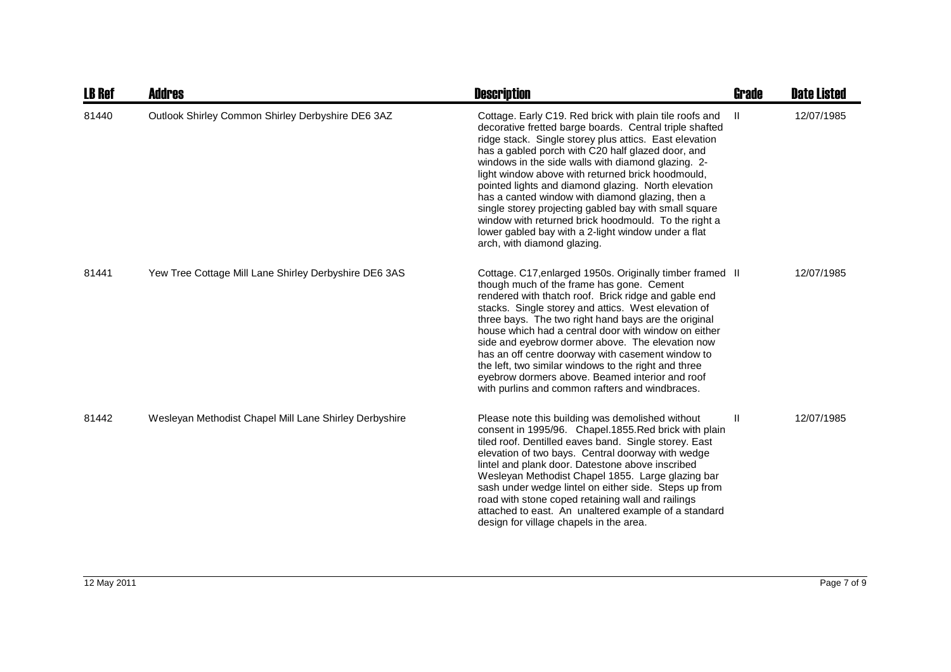| <b>LB Ref</b> | Addres                                                 | <b>Description</b>                                                                                                                                                                                                                                                                                                                                                                                                                                                                                                                                                                                                                                             | <b>Grade</b> | <b>Date Listed</b> |
|---------------|--------------------------------------------------------|----------------------------------------------------------------------------------------------------------------------------------------------------------------------------------------------------------------------------------------------------------------------------------------------------------------------------------------------------------------------------------------------------------------------------------------------------------------------------------------------------------------------------------------------------------------------------------------------------------------------------------------------------------------|--------------|--------------------|
| 81440         | Outlook Shirley Common Shirley Derbyshire DE6 3AZ      | Cottage. Early C19. Red brick with plain tile roofs and<br>decorative fretted barge boards. Central triple shafted<br>ridge stack. Single storey plus attics. East elevation<br>has a gabled porch with C20 half glazed door, and<br>windows in the side walls with diamond glazing. 2-<br>light window above with returned brick hoodmould,<br>pointed lights and diamond glazing. North elevation<br>has a canted window with diamond glazing, then a<br>single storey projecting gabled bay with small square<br>window with returned brick hoodmould. To the right a<br>lower gabled bay with a 2-light window under a flat<br>arch, with diamond glazing. | H.           | 12/07/1985         |
| 81441         | Yew Tree Cottage Mill Lane Shirley Derbyshire DE6 3AS  | Cottage. C17, enlarged 1950s. Originally timber framed II<br>though much of the frame has gone. Cement<br>rendered with thatch roof. Brick ridge and gable end<br>stacks. Single storey and attics. West elevation of<br>three bays. The two right hand bays are the original<br>house which had a central door with window on either<br>side and eyebrow dormer above. The elevation now<br>has an off centre doorway with casement window to<br>the left, two similar windows to the right and three<br>eyebrow dormers above. Beamed interior and roof<br>with purlins and common rafters and windbraces.                                                   |              | 12/07/1985         |
| 81442         | Wesleyan Methodist Chapel Mill Lane Shirley Derbyshire | Please note this building was demolished without<br>consent in 1995/96. Chapel.1855. Red brick with plain<br>tiled roof. Dentilled eaves band. Single storey. East<br>elevation of two bays. Central doorway with wedge<br>lintel and plank door. Datestone above inscribed<br>Wesleyan Methodist Chapel 1855. Large glazing bar<br>sash under wedge lintel on either side. Steps up from<br>road with stone coped retaining wall and railings<br>attached to east. An unaltered example of a standard<br>design for village chapels in the area.                                                                                                              | Ш            | 12/07/1985         |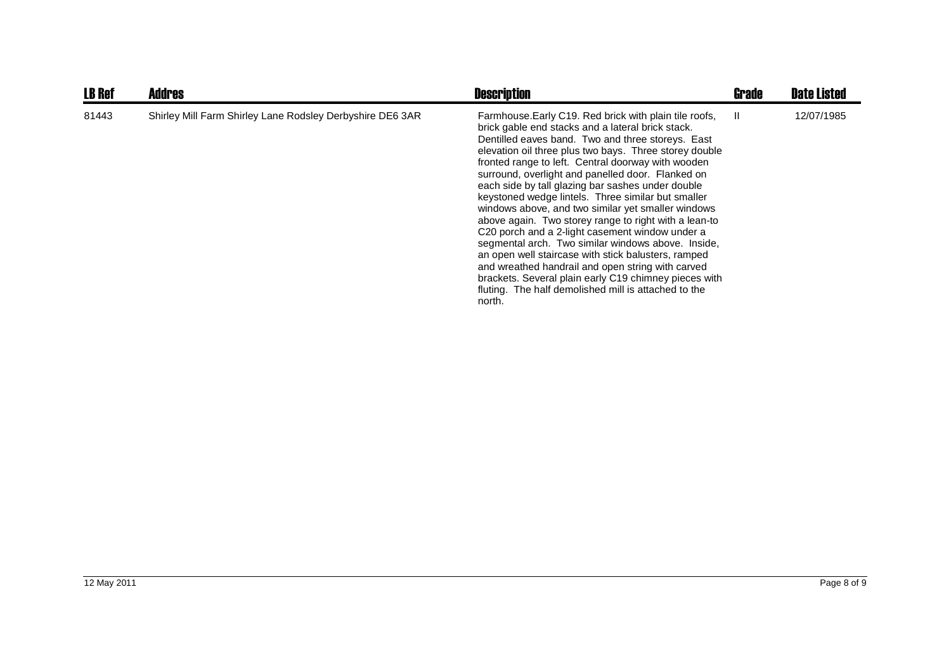| <b>LB Ref</b> | <b>Addres</b>                                             | <b>Description</b>                                                                                                                                                                                                                                                                                                                                                                                                                                                                                                                                                                                                                                                                                                                                                                                                                                                                                                          | Grade | <b>Date Listed</b> |
|---------------|-----------------------------------------------------------|-----------------------------------------------------------------------------------------------------------------------------------------------------------------------------------------------------------------------------------------------------------------------------------------------------------------------------------------------------------------------------------------------------------------------------------------------------------------------------------------------------------------------------------------------------------------------------------------------------------------------------------------------------------------------------------------------------------------------------------------------------------------------------------------------------------------------------------------------------------------------------------------------------------------------------|-------|--------------------|
| 81443         | Shirley Mill Farm Shirley Lane Rodsley Derbyshire DE6 3AR | Farmhouse. Early C19. Red brick with plain tile roofs,<br>brick gable end stacks and a lateral brick stack.<br>Dentilled eaves band. Two and three storeys. East<br>elevation oil three plus two bays. Three storey double<br>fronted range to left. Central doorway with wooden<br>surround, overlight and panelled door. Flanked on<br>each side by tall glazing bar sashes under double<br>keystoned wedge lintels. Three similar but smaller<br>windows above, and two similar yet smaller windows<br>above again. Two storey range to right with a lean-to<br>C <sub>20</sub> porch and a 2-light casement window under a<br>segmental arch. Two similar windows above. Inside,<br>an open well staircase with stick balusters, ramped<br>and wreathed handrail and open string with carved<br>brackets. Several plain early C19 chimney pieces with<br>fluting. The half demolished mill is attached to the<br>north. | - II  | 12/07/1985         |